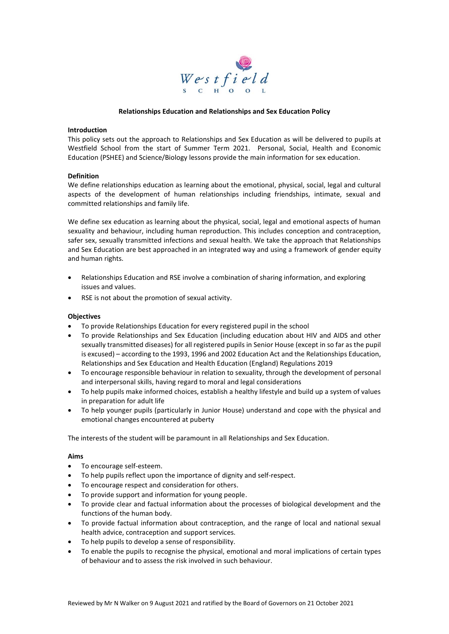

### **Relationships Education and Relationships and Sex Education Policy**

### **Introduction**

This policy sets out the approach to Relationships and Sex Education as will be delivered to pupils at Westfield School from the start of Summer Term 2021. Personal, Social, Health and Economic Education (PSHEE) and Science/Biology lessons provide the main information for sex education.

### **Definition**

We define relationships education as learning about the emotional, physical, social, legal and cultural aspects of the development of human relationships including friendships, intimate, sexual and committed relationships and family life.

We define sex education as learning about the physical, social, legal and emotional aspects of human sexuality and behaviour, including human reproduction. This includes conception and contraception, safer sex, sexually transmitted infections and sexual health. We take the approach that Relationships and Sex Education are best approached in an integrated way and using a framework of gender equity and human rights.

- Relationships Education and RSE involve a combination of sharing information, and exploring issues and values.
- RSE is not about the promotion of sexual activity.

#### **Objectives**

- To provide Relationships Education for every registered pupil in the school
- To provide Relationships and Sex Education (including education about HIV and AIDS and other sexually transmitted diseases) for all registered pupils in Senior House (except in so far as the pupil is excused) – according to the 1993, 1996 and 2002 Education Act and the Relationships Education, Relationships and Sex Education and Health Education (England) Regulations 2019
- To encourage responsible behaviour in relation to sexuality, through the development of personal and interpersonal skills, having regard to moral and legal considerations
- To help pupils make informed choices, establish a healthy lifestyle and build up a system of values in preparation for adult life
- To help younger pupils (particularly in Junior House) understand and cope with the physical and emotional changes encountered at puberty

The interests of the student will be paramount in all Relationships and Sex Education.

#### **Aims**

- To encourage self-esteem.
- To help pupils reflect upon the importance of dignity and self-respect.
- To encourage respect and consideration for others.
- To provide support and information for young people.
- To provide clear and factual information about the processes of biological development and the functions of the human body.
- To provide factual information about contraception, and the range of local and national sexual health advice, contraception and support services.
- To help pupils to develop a sense of responsibility.
- To enable the pupils to recognise the physical, emotional and moral implications of certain types of behaviour and to assess the risk involved in such behaviour.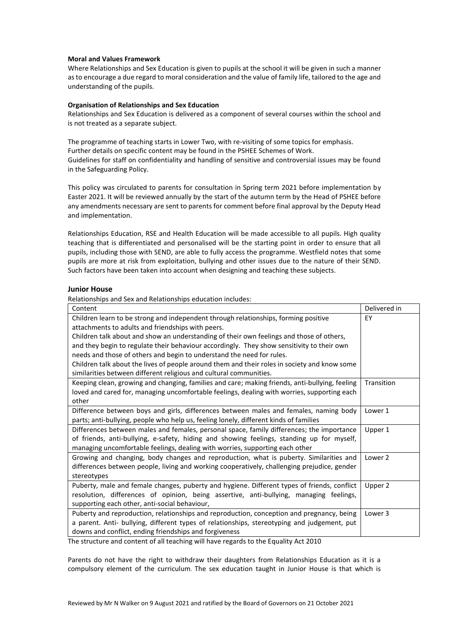## **Moral and Values Framework**

Where Relationships and Sex Education is given to pupils at the school it will be given in such a manner as to encourage a due regard to moral consideration and the value of family life, tailored to the age and understanding of the pupils.

## **Organisation of Relationships and Sex Education**

Relationships and Sex Education is delivered as a component of several courses within the school and is not treated as a separate subject.

The programme of teaching starts in Lower Two, with re-visiting of some topics for emphasis. Further details on specific content may be found in the PSHEE Schemes of Work. Guidelines for staff on confidentiality and handling of sensitive and controversial issues may be found in the Safeguarding Policy.

This policy was circulated to parents for consultation in Spring term 2021 before implementation by Easter 2021. It will be reviewed annually by the start of the autumn term by the Head of PSHEE before any amendments necessary are sent to parents for comment before final approval by the Deputy Head and implementation.

Relationships Education, RSE and Health Education will be made accessible to all pupils. High quality teaching that is differentiated and personalised will be the starting point in order to ensure that all pupils, including those with SEND, are able to fully access the programme. Westfield notes that some pupils are more at risk from exploitation, bullying and other issues due to the nature of their SEND. Such factors have been taken into account when designing and teaching these subjects.

## **Junior House**

Relationships and Sex and Relationships education includes:

| Content                                                                                        | Delivered in |
|------------------------------------------------------------------------------------------------|--------------|
| Children learn to be strong and independent through relationships, forming positive            | EY           |
| attachments to adults and friendships with peers.                                              |              |
| Children talk about and show an understanding of their own feelings and those of others,       |              |
| and they begin to regulate their behaviour accordingly. They show sensitivity to their own     |              |
| needs and those of others and begin to understand the need for rules.                          |              |
| Children talk about the lives of people around them and their roles in society and know some   |              |
| similarities between different religious and cultural communities.                             |              |
| Keeping clean, growing and changing, families and care; making friends, anti-bullying, feeling | Transition   |
| loved and cared for, managing uncomfortable feelings, dealing with worries, supporting each    |              |
| other                                                                                          |              |
| Difference between boys and girls, differences between males and females, naming body          | Lower 1      |
| parts; anti-bullying, people who help us, feeling lonely, different kinds of families          |              |
| Differences between males and females, personal space, family differences; the importance      | Upper 1      |
| of friends, anti-bullying, e-safety, hiding and showing feelings, standing up for myself,      |              |
| managing uncomfortable feelings, dealing with worries, supporting each other                   |              |
| Growing and changing, body changes and reproduction, what is puberty. Similarities and         | Lower 2      |
| differences between people, living and working cooperatively, challenging prejudice, gender    |              |
| stereotypes                                                                                    |              |
| Puberty, male and female changes, puberty and hygiene. Different types of friends, conflict    | Upper 2      |
| resolution, differences of opinion, being assertive, anti-bullying, managing feelings,         |              |
| supporting each other, anti-social behaviour,                                                  |              |
| Puberty and reproduction, relationships and reproduction, conception and pregnancy, being      | Lower 3      |
| a parent. Anti- bullying, different types of relationships, stereotyping and judgement, put    |              |
| downs and conflict, ending friendships and forgiveness                                         |              |

The structure and content of all teaching will have regards to the Equality Act 2010

Parents do not have the right to withdraw their daughters from Relationships Education as it is a compulsory element of the curriculum. The sex education taught in Junior House is that which is